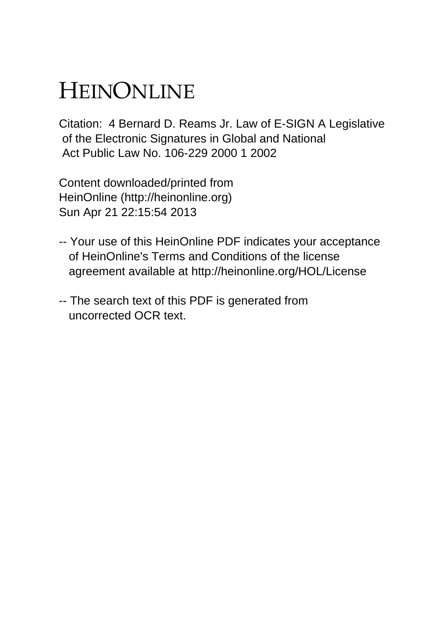# HEINONLINE

Citation: 4 Bernard D. Reams Jr. Law of E-SIGN A Legislative of the Electronic Signatures in Global and National Act Public Law No. 106-229 2000 1 2002

Content downloaded/printed from HeinOnline (http://heinonline.org) Sun Apr 21 22:15:54 2013

- -- Your use of this HeinOnline PDF indicates your acceptance of HeinOnline's Terms and Conditions of the license agreement available at http://heinonline.org/HOL/License
- -- The search text of this PDF is generated from uncorrected OCR text.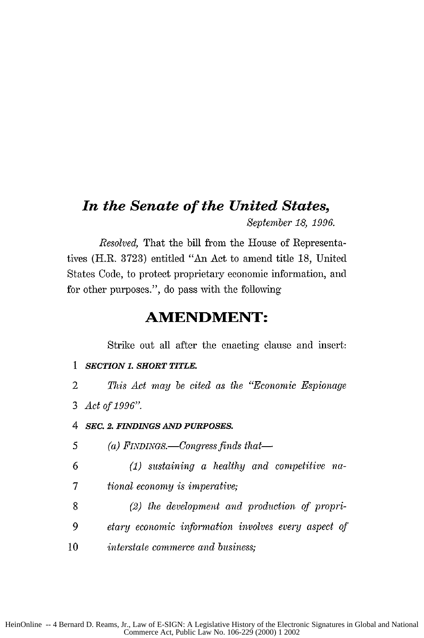# *In the Senate of the United States, September* 18, 1996.

*Resolved,* That the bill from the House of Representatives (H.R. 3723) entitled "An Act to amend title 18, United States Code, to protect proprietary economic information, and for other purposes.", do pass with the following

# **AMENDMENT:**

Strike out all after the enacting clause and insert:

- *1 SECTION 1. SHORT TITLE.*
- 2 *This Act may be cited as the "Economic Espionage* 3 *Act of 1996".*
- *4 SEC. 2. FINDINGS AND PURPOSES.*
- 5 (a) *FINDINGS.—Congress finds that*—
- *6 (1) sustaining a healthy and competitive* ha-*7 tional economy is imperative;*
- **8** *(2) the development and production of propri-9 etary economic information involves every aspect of* 10 *interstate commerce and business;*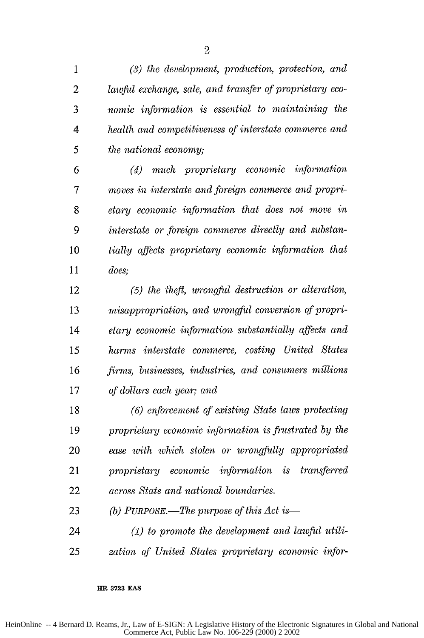*(3) the development, production, protection, and lawful exchange, sale, and transfer of proprietary eco-nomic intformation is essential to maintaining the 4 health a nd competitiveness of interstate commerce and 5 the national economy;*

*6 (4) much proprietary economic information 7 moves in interstate and foreign commerce and propri-etary economic information that does not move in 9 interstate or foreign commerce directly and substan-tially qffects proprietary economic infornation that does;*

*(5) the theft, wrongfid destruction or alteration, misappropriation, and wrongful conversion of propri-etary economic information substantially affects and harms interstate commerce, costing United States firms, businesses, industries, and consumers millions of dollars each year; and*

*(6) enforcement of existing State laws protecting proprietary economic information is frustrated by the ease with which stolen or wrongfully appropriated proprietary economic infbrmation is transferred across State and national boundaries.*

*(b) PuRPOSE.-The purpose of this Act is-(1) to promote the development and lawful utili-*

*25 zation of United States proprietary economic injbr-*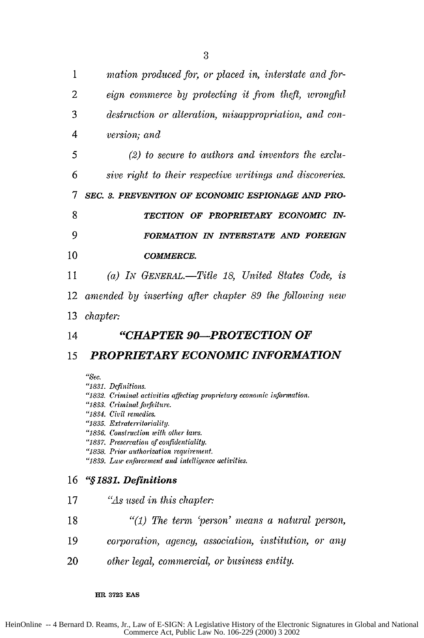| 1   | mation produced for, or placed in, interstate and for-   |
|-----|----------------------------------------------------------|
| 2   | eign commerce by protecting it from theft, wrongful      |
| 3   | destruction or alteration, misappropriation, and con-    |
| 4   | version; and                                             |
| 5   | $(2)$ to secure to authors and inventors the exclu-      |
| 6   | sive right to their respective writings and discoveries. |
| 7   | SEC. 3. PREVENTION OF ECONOMIC ESPIONAGE AND PRO-        |
| 8   | TECTION OF PROPRIETARY ECONOMIC IN-                      |
| 9   | FORMATION IN INTERSTATE AND FOREIGN                      |
| 10  | <b>COMMERCE.</b>                                         |
| 11  | (a) IN GENERAL.—Title 18, United States Code, is         |
| 12. | amended by inserting after chapter 89 the following new  |
| 13  | <i>chapter:</i>                                          |
| 14  | "CHAPTER 90-PROTECTION OF                                |

# **<sup>15</sup>***PROPRIETARY ECONOMIC INFORMATION*

*"Sec.*

*"1831. Definitions.*

- *"1832. Criminal activities affecting proprietary economic information.*
- *"1833. Criminal forfeiture.*
- *"1834. Civil remedies.*

*"1835. Extraterritoriality.*

*"1836. Construction with other laws.*

*"1837. Preservation of confidentiality.*

*"1838. Prior authorization requirement.*

*"1839. Law enforcement and intelligence activities.*

# **<sup>16</sup>"§** *1831. Definitions*

- 17 *'As used in this chapter:*
- <sup>18</sup>*"(1) The term 'person' means a natural person,*
- <sup>19</sup>*corporation, agency, association, institution, or any*
- 20 *other legal, commercial, or business entity.*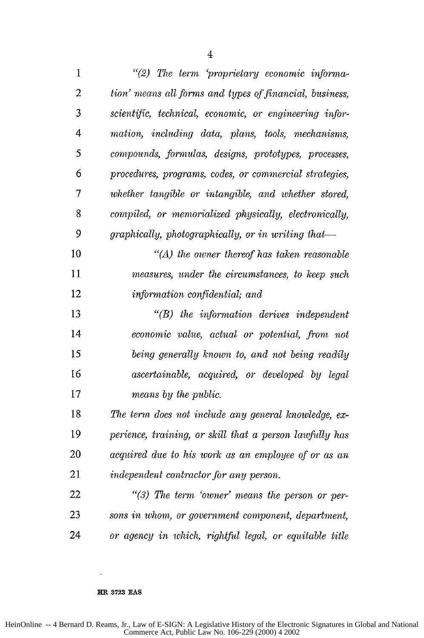| $\mathbf{1}$   | "(2) The term 'proprietary economic informa-            |
|----------------|---------------------------------------------------------|
| $\overline{c}$ | tion' means all forms and types of financial, business, |
| 3              | scientific, technical, economic, or engineering infor-  |
| 4              | mation, including data, plans, tools, mechanisms,       |
| 5              | compounds, formulas, designs, prototypes, processes,    |
| 6              | procedures, programs, codes, or commercial strategies,  |
| 7              | whether tangible or intangible, and whether stored,     |
| 8              | compiled, or memorialized physically, electronically,   |
| 9              | graphically, photographically, or in writing that-      |
| 10             | $H(A)$ the owner thereof has taken reasonable           |
| 11             | measures, under the circumstances, to keep such         |
| 12             | information confidential; and                           |
| 13             | $H(B)$ the information derives independent              |
| 14             | economic value, actual or potential, from not           |
| 15             | being generally known to, and not being readily         |
| 16             | ascertainable, acquired, or developed by legal          |
| 17             | means by the public.                                    |
| 18             | The term does not include any general knowledge, ex-    |
| 19             | perience, training, or skill that a person lawfully has |
| 20             | acquired due to his work as an employee of or as an     |
| 21             | independent contractor for any person.                  |
| 22             | "(3) The term 'owner' means the person or per-          |
| 23             | sons in whom, or government component, department,      |
| 24             | or agency in which, rightful legal, or equitable title  |

**HR 3723 EAS**

HeinOnline -- 4 Bernard D. Reams, Jr., Law of E-SIGN: A Legislative History of the Electronic Signatures in Global and National Commerce Act, Public Law No. 106-229 (2000) 4 2002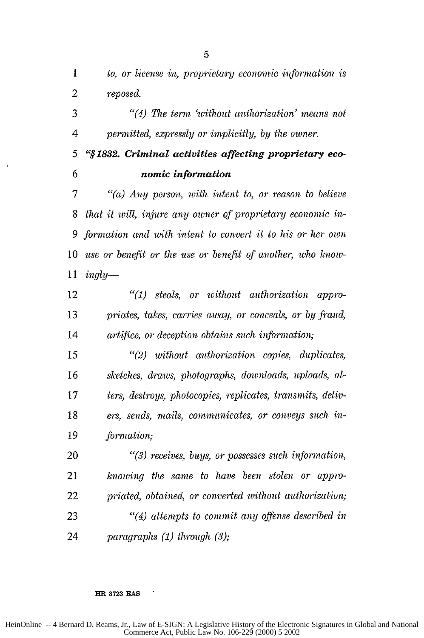*to, or license in, proprietary economic information is reposed.*

*"(4) The term 'without authorization' means not 4 permitted, expressly or implicitly, by the owner.*

**"§1832.** *Criminal activities affecting proprietary eco-6 nomic information*

*7 "(a) Any person, with intent to, or reason to believe that it will, injure any owner of proprietary economic in-9 formation and with intent to convert it to his or her own use or benefit or the use or benefit of another, who know-ingly-*

*"(1) steals, or without authorization appro-priates, takes, carries away, or conceals, or by fiaud, artifice, or deception obtains such information;*

*"(2) without authorization copies, duplicates, sketches, draws, photographs, downloads, uploads, al-ters, destroys, photocopies, replicates, transmits, deliv-ers, sends, mails, communicates, or conveys such in-formation;*

*"(3) receives, buys, or possesses such information, knowing the same to have been stolen or appro-priated, obtained, or converted without authorization; "(4) attempts to commit any offense described in paragraphs (1) through (3);*

# 

### **HR 3723 EAS**

HeinOnline -- 4 Bernard D. Reams, Jr., Law of E-SIGN: A Legislative History of the Electronic Signatures in Global and National Commerce Act, Public Law No. 106-229 (2000) 5 2002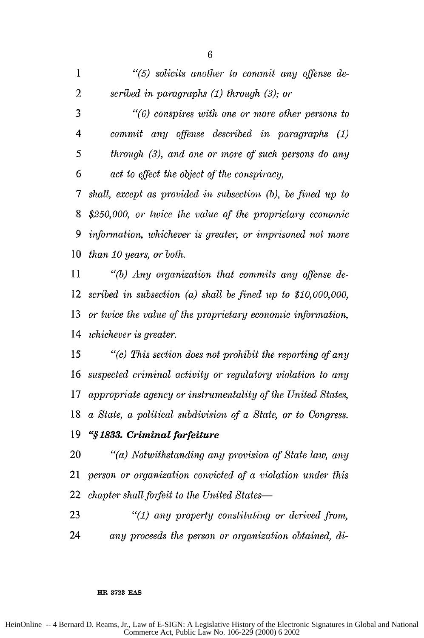"(5) *solicits another to commit any offense de-scribed in paragraphs (1) through (3); or "(6) conspires with one or more other persons to 4 commit any offense described in paragraphs (1) 5 through (3), and one or more of such persons do any 6 act to effect the object of the conspiracy, 7 shall, except as provided in subsection (b), be fined up to \$250,000, or twice the vale of the proprietary economic 9 information, whichever is greater, or imprisoned not more than 10 years, or both. 11 "(b) Any organization that commits any offense de-scribed in subsection (a) shall be fined up to \$10,000,000,*

*or twice the value of the proprietary economic information, whichever is greater.*

*"(c) This section does not prohibit the reporting of any suspected criminal activity or regulatory violation to any appropriate agency or instrumentality of the United States, a State, a political subdivision of a State, or to Congress.*

# **"§** *1833. Criminal forfeiture*

*"(a) Notwithstanding any provision of State law, any person or organization convicted of a violation under this chapter shall forfeit to the United States-*

*"(1) any property constituting or derived from, any proceeds the person or organization obtained, di-*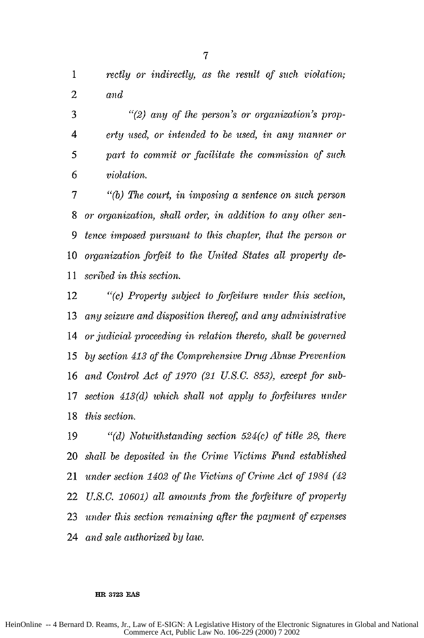rectly or *indirectly, as the result of such violation; and*

*"(2)* any of the *person's* or organization's *prop-erty used, or intended to be used, in any manner or 5 part to commit or facilitate the commission of such 6 violation.*

"(b) *The court, in imposing a sentence on such person or organization, shall order, in addition to any other sen-tence imposed pursuant to this chapter, that the person or organization forfeit to the United States all property de-11 scribed in this section.*

*"(c) Property subject to forfeiture under this section,* 13 any seizure and disposition thereof, and any administrative *or judicial proceeding in relation thereto, shall be governed by section 413 of the Comprehensive Drug Abuse Prevention and Control Act of 1970 (21 U.S.C. 853), except for sub-section 413(d) which shall not apply to forfeitures under this section.*

*"(d) Notwithstanding section 524(c) of title 28, there shall be deposited in the Crime Victims Fund established under section 1402 of the Victims of Crime Act of 1984 (42* U.S.C. *10601) all amounts from the forfeiture of property under this section remaining after the payment of expenses and sale authorized by law.*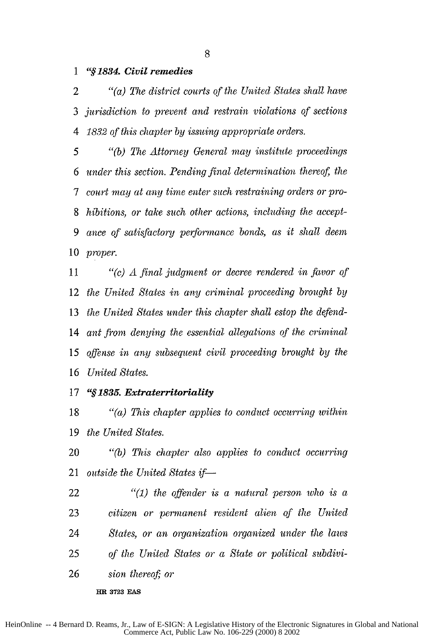**1 "§1834.** *Civil remedies*

*"(a) The district courts of the United States shall have jurisdiction to prevent and restrain violations of sections 4 1832 of this chapter by issuing appropriate orders.*

*5 "(b) The Attorney General may institute proceedings 6 under this section. Pending final determination thereof, the 7 court may at any time enter such restraining orders or pro-hibitions, or take such other actions, including the accept-ance of satisfactory perfornance bonds, as it shall deem proper.*

*11 "(c) A final judgment or decree rendered in favor of the United States in any criminal proceeding brought by the United States under this chapter shall estop the defend-ant from denying the essential allegations of the criminal offense in any subsequent civil proceeding brought by the United States.*

# **"§1835.** *Extraterritoriality*

*"(a) This chapter applies to conduct occurring within the United States.*

20 "(b) *This chapter also applies to conduct occurring outside the United States if-*

*"(1) the offender is a natural person who is a citizen or permanent resident alien of the United States, or an organization organized under the laws of the United States or a State or political* subdivi-*sion thereof*; or

**HR 3723 EAS**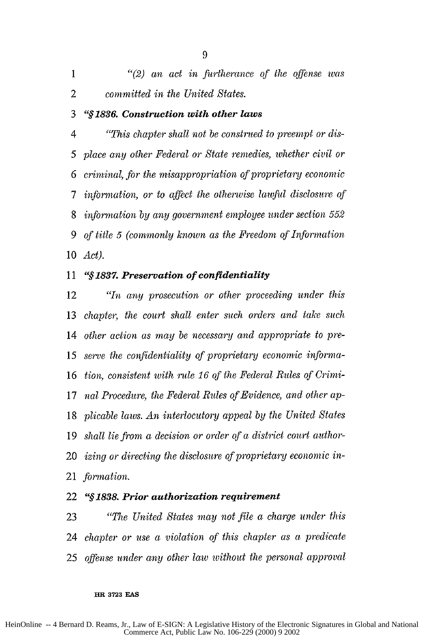|   |  | $\lq(2)$ an act in furtherance of the offense was |  |  |
|---|--|---------------------------------------------------|--|--|
| 2 |  | committed in the United States.                   |  |  |

## *"§1836. Construction with other laws*

*4 "This chapter shall not be construed to preempt or dis-5 place any other Federal or State remedies, whether civil or 6 criminal, for the misappropriation of proprietaiy economic 7 information, or to affect the othervise lawful disclosure of information by any government employee under section 552 9 of title 5 (commonly known as the Freedom of Information Act).*

## *"§1 <sup>8</sup> <sup>3</sup> <sup>7</sup> . Preservation of confidentiality*

*"In any prosecution or other proceeding under this chapter, the court shall enter such orders and take such other action as may be necessary and appropriate to pre-serve the confidentiality of proprietary economic informa-tion, consistent with rule 16 of the Federal Rules of Crimi-nal Procedure,* the *Federal Rules of Evidence, and other ap-plicable laws. An interlocutory appeal by the United States shall lie from a decision or order of a district court author-izing or directing the disclosure of proprietary economic in-formation.*

# **"§1838.***Prior authorization requirement*

*"The United States may not file a charge under this chapter or use a violation of this chapter as a predicate offense under any other law without the personal approval*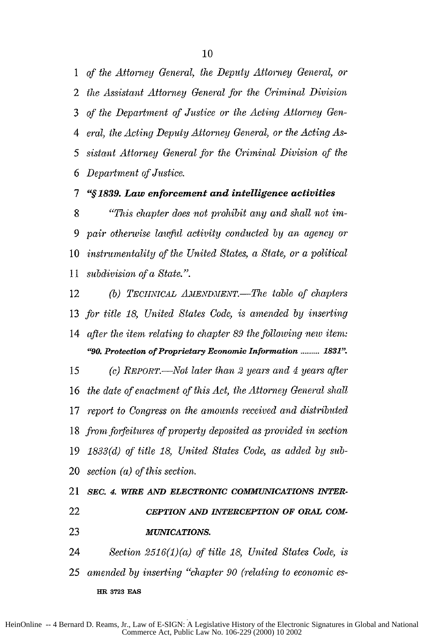1 of the Attorney General, the *Deputy* Attorney General, or 2 the Assistant Attorney General for the Criminal Division 3 of' the Department of Justice or the Acting Attorney Gen-4 eral, the Acting Deputy Attorney General, or the Acting As-5 sistant Attorney General for the Criminal Division of the 6 Department of Justice.

# *7 "§1 <sup>8</sup> <sup>3</sup> <sup>9</sup> . Law enforcement and intelligence activities*

"This chapter does not prohibit any and shall not im-9 pair otherwise lawfid activity conducted by an agency or instrumentality of the United States, a State, or a political subdivision of a State.".

<sup>12</sup>(b) *TECmNICAL A.LIIENDMENT.-The* table of chapters 13 for title 18, United States Code, is amended by inserting 14 after the item relating to chapter 89 the *following new* item: *"90. Protection of Proprietary Economic Information .......... 1831"'*

15 (c) *REPORT.-Not* later than 2 years and 4 years after the date of enactment of this Act, the Attorney General shall report to *Congress* on the amounts received and distributed 18 from forfeitures of property deposited as provided in section 1833(d) of title 18, United States Code, as added by sub-section (a) of this section.

21 *sEC. 4. WIRE AND ELECTRONIC COMMUNICATIONS INTER-*22 *CEPTION AND INTERCEPTION OF ORAL COM-***23** *MUNICATIONS.*

24 Section 2516(1)(a) of title 18, United States Code, is 25 amended by inserting "chapter 90 (relating to economic es-**HR 3723 EAS**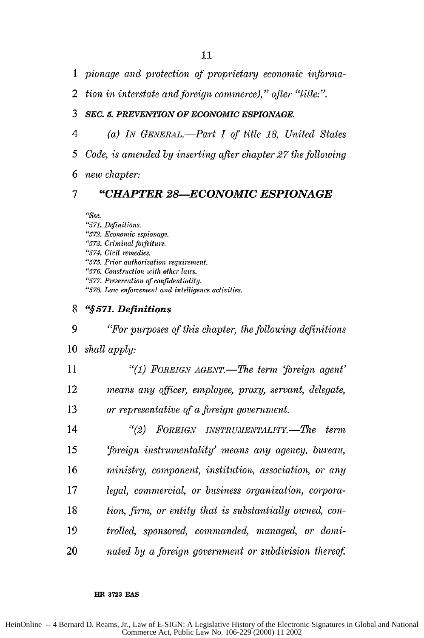- 1 *pionage and protection of proprietaryj economic inforna-*
- 2 *tion in interstate and foreign commerce)," after "title:".*

# **3** *SEC. 5. PREVENTION OF ECONOMIC ESPIONAGE.*

- *4 (a) Lv Gm VERAL.-Part I of title 18, United States*
- *5 Code, is amended by inserting after chapter 27 the following*
- *6 new chapter:*

# *7 "CHAPTER 28-ECONOMIC ESPIONAGE*

*,Te.*

- **"571.** Definitions.
- *"572. Economic espionage.*
- **'573.** Criminal *fofeiture.*
- "574. *Civil remedies.*
- **"575.** *Prior tuthorization requirement.*
- **"576.** *Construction with other laws.*
- *"577. Preservation of confidentiality.*
- *"578.* Law *enforcement and intelligence activities.*
- **<sup>8</sup>***"§ <sup>5</sup> <sup>7</sup> 1. Definitions*

*9 "For purposes of this chapte, the following definitions* 10 *shall apply:* 11 *"(1) FOREIGN AGENT.-The term 'foreign agent'*

<sup>12</sup>*means any officer, employee, proxy, servant, delegate,*

<sup>13</sup>*or representative of a foreign government.*

*"(2) FOREIGN INSTRUMENTALITY.-T7ze term 'foreign instrumentality' means any agency, bureau, ministry, component, institution, association, or any legal, commercial, or business organization, corpora-tion, firm, or entity that is substantially owned, con-trolled, sponsored, commanded, managed, or domi-nated by a foreign government or subdivision thereof*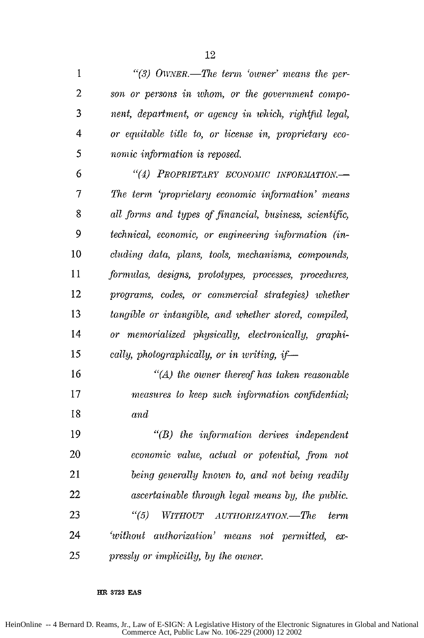1 "(3) OWNER.—The term 'owner' means the per-*son or persons in whom, or the government compo-nent, department, or agency in which, rightfid legal, 4 or equitable title to, or license in, proprietary eco-5 nomic information is reposed. "(4) PROPRIETARY ECONOMIC INFORMLTIOm-*

*7 The term 'proprietarj economic information' means all forms and types of financial, business, scientific, 9 technical, economic, or engineering information (in-cluding data, plans, tools, mechanisms, compounds, formulas, designs, prototypes, processes, procedures, programs, codes, or commercial strategies) whether tangible or intangible, and whether stored, compiled, or memorialized physically, electronically, graphi-15 cally, photographically, or in writing, if-*

*"(A) the owner thereof has taken reasonable measures to keep such information confidential, and*

*"(B) the information derives independent economic value, actual or potential, from not being generally known to, and not being readily ascertainable through legal means by, the public. "(5) WITHOUT AUTHORIZATIO.-The term 'without authorization' means not permitted, ex-25 pressly or implicitly, by the owner.*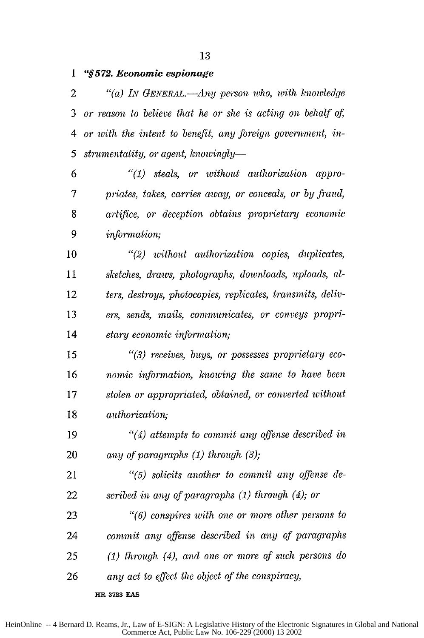*"§572. Economic espionage*

*"(a) IN GENERAL.-Any person who, with knowledge or reason to believe that he or she is* acting *on behalf* of, *4 or with the intent to benefit, any foreign government, in-5 strumentality, or agent, knowiingly-*

*"(1) steals, or without authorization appro-7 priates, takes, carries away, or conceals, or by fraud, artifice, or deception obtains proprietary economic 9 information;*

*"(2) without authorization copies, duplicates, sketches, draws, photographs, downloads, uploads, al-ters, destroys, photocopies, replicates, transmits, deliv-ers, sends, mails, communicates, or conveys propri-etary economic information;*

*15 "(3) receives, buys, or possesses proprietary eco-nomic information, knowing the same to have been stolen or appropriated, obtained, or converted without authorization;*

*19 "(4) attempts to commit any offense described in any of paragraphs (1) through (3);*

*"(5) solicits another to commit any offense de-scribed in any of paragraphs (1) through (4); or*

*"(6) conspires with one or more other persons to commit any offense described in any of paragraphs (1) through (4), and one or more of such persons do any act to effect the object of the conspiracy,*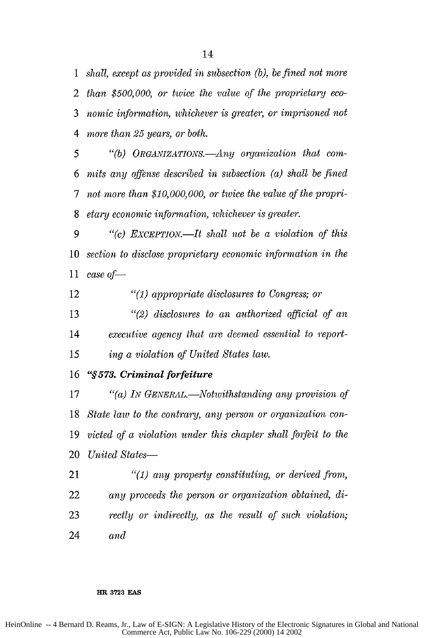*shall, except as provided in subsection (b), be fined not more than \$500,000, or twice the value of the proprietary eco-nomic information, whichever is greater, or imprisoned not 4 more than 25 years, or both.*

5 "(b) ORGANIZATIONS.—Any organization that com-*mits any offense described in subsection (a) shall be fined 7 not more than \$10,000,000, or twice the value of the propri-etary economic information, whichever is greater.*

"() *ExCEPTION.-It shall not be a violation of this section to disclose proprietary economic information in the case of-*

*"(1) appropriate disclosures to Congress; or*

*"(2) disclosures to an authorized official of an executive agency that are deemed essential to report-ing a violation of United States law.*

*"§573. Criminal forfeiture*

*"(a)* Lv *GENERAL.-Notwithstanding any provision of State law to the contrary, any person or organization con-victed of a violation under this chapter shall forfeit to the United States-*

*"(1) any property constituting, or derived from, any proceeds the person or organization obtained, di-rectly or indirectly, as the result of such violation; and*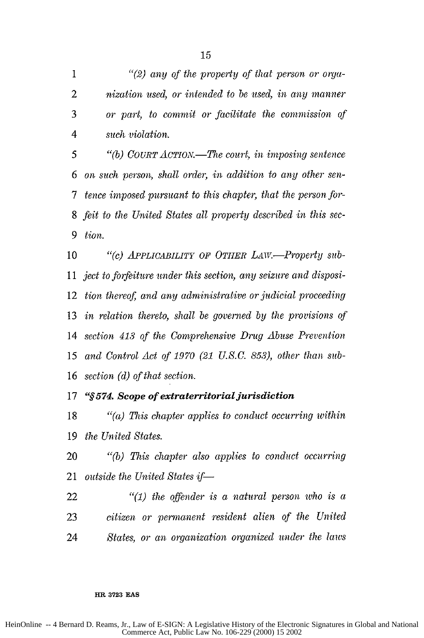*"(2) any of the property of that person or orga-nization used, or intended to be used, in any manner or part, to commit or facilitate the commission of 4 such violation.*

*5 "(b) COURTACTION.-The court, in imposing sentence on such person, shall order, in addition to any other sen-7 tence imposed pursuant to this chapter, that the person for-feit to the United States all property described in this see-tion.*

10 "(c) APPLICABILITY OF OTHER LAW.—Property sub-*ject to forfeiture under this section, any seizure and disposi-*tion thereof, and any administrative or judicial proceeding in relation *thereto, shall be governed by* the *provisions of section* 413 *of the Comprehensive Drug Abuse Prevention and Control Act of 1970 (21 U.S.C. 853), other than sub-*section (d) of that section.

# *"§574. Scope of extraterritorial jurisdiction*

*"(a) This chapter applies to conduct occurring within* the United States.

"(b) *This chapter also applies to conduct occurring outside the United States if* 

"(1) *the offender is a natural person who is a citizen or permanent resident alien of the United States, or an organization organized under the laws*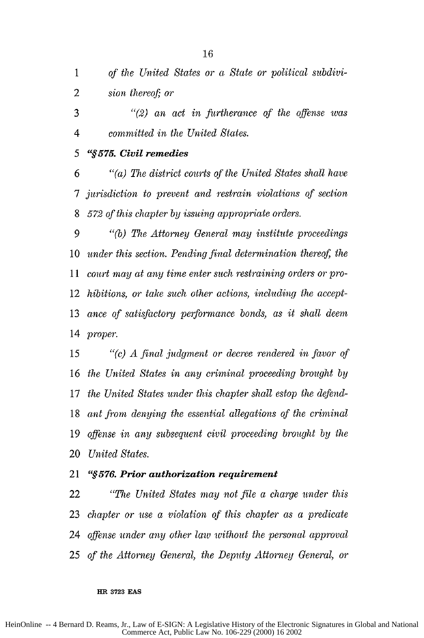*of the United States or a State or political subdivi-sion thereof; or*

*"(2) an act in fiurtherance of the offense was 4 committed in the United States.*

# *5 "§575. Civil remedies*

*"(a) The district courts of the United States shall have 7 jurisdiction to prevent and restrain violations of section 572 of this chapter by issuing appropriate orders.*

*9 "(b) The Attorney General may institute proceedings* 10 under this section. Pending final determination thereof, the *court may at any time enter such restraining orders or pro-hibitions, or take such other actions, including the accept-ance of satisfactorj performance bonds, as it shall deem proper.*

*"(c) A final judgment or decree rendered in favor of the United States in any criminal proceeding brought by the United States under this chapter shall estop the defend-ant from denying the essential allegations of the criminal offense in any subsequent civil proceeding brought by the United States.*

# *"§576. Prior authorization requirement*

*"The United States may not file a charge under this chapter or use a violation of this chapter as a predicate offense under any other law without the personal approval of the Attorney General, the Deputy Attorney General, or*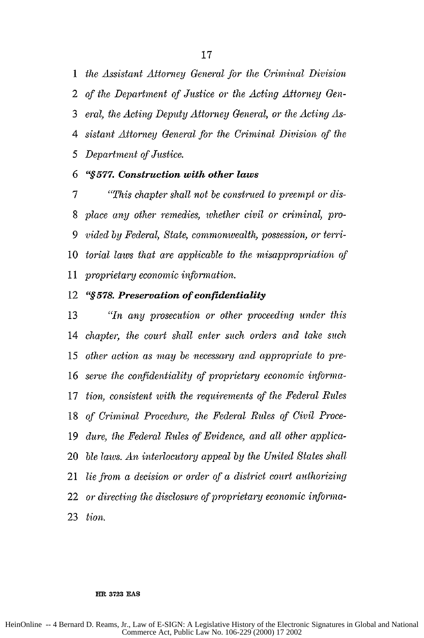*the Assistant Attorney General for the Criminal Division of the Department of Justice or the Acting* Attorney *Gen-eral, the Acting Deputy* Attorney *General, or the Acting As-sistant Attorney General for the Criminal Division of the 5 Department of Justice.*

## *6 "§577. Construction with other laws*

*"This chapter shall not be construed to preempt or dis-place any other remedies, whether civil or criminal, pro-vided by Federal, State, commonwealth, possession, or terri-torial laws that are applicable to the misappropriation of 11 proprietary economic information.*

### **"§578.** *Preservation of confidentiality*

*"In any prosecution or other proceeding under this chapter, the court shall enter such orders and take such other action as may be necessary and appropriate to pre-serve the confidentiality of proprietary economic injbrma-tion, consistent with the requirements of the Federal Rules of Criminal Procedure, the Federal Rules of Civil Proce-dure, the Federal Rules of Evidence, and all other applica-ble laws. An interlocutory appeal by the United States shall lie from a decision or order of a district court authorizing or directing the disclosure of proprietary economic inforina-tion.*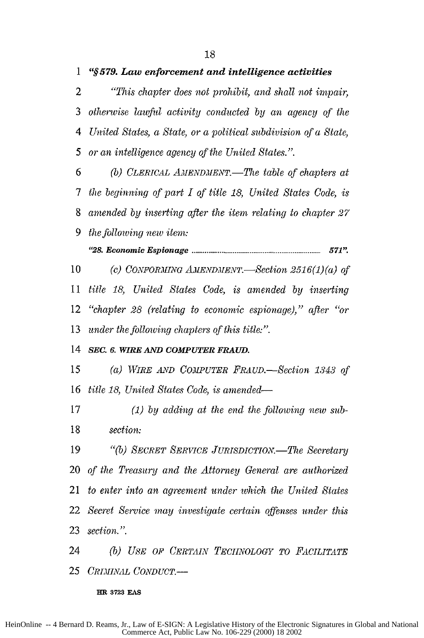*"This chapter does not prohibit, and shall not impair, otherwise* lawfid *activity conducted by an agency of the 4 United States, a State, or a political subdivision of a State, 5 or an intelligence agency of the United States.".*

*(b) CLERICAL AMENDMENT.-The table of chapters at 7 the beginning of part I of title 18, United States Code, is amended by inserting after the item relating to chapter 27 the follotving new item:*

*"28. Econom ic Espionage* **.....................................................................** *571"*

10 (c) CONFORMING AMENDMENT.—Section 2516(1)(a) of *title 18, United States Code, is amended by inserting "chapter 28 (relating to economic espionage)," after "or under the following chapters of this title:".*

*SEC. 6. WIRE AND COMPUTER FRAUD.*

*(a) WIRE AND COMPUTER FRAUD.-Section 1343 of title 18, United States Code, is amended-*

*(1) by adding at the end the following new sub-section:*

19 "(b) SECRET SERVICE JURISDICTION.—The Secretary *of the Treasury and the Attorney General are authorized to enter into an agreement under which the United States Secret Service may investigate certain offenses under this section.".*

*(b) USE OF CERTAIN TECHNOLOGY TO FACILITATE CRIlINIL CONDUCT.-*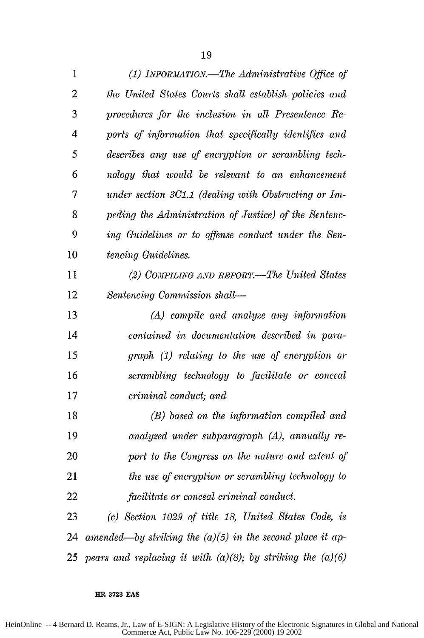| 1              | (1) INFORMATION.—The Administrative Office of                   |
|----------------|-----------------------------------------------------------------|
| $\overline{2}$ | the United States Courts shall establish policies and           |
| 3              | procedures for the inclusion in all Presentence Re-             |
| 4              | ports of information that specifically identifies and           |
| 5              | describes any use of encryption or scrambling tech-             |
| 6              | nology that would be relevant to an enhancement                 |
| 7              | under section 3C1.1 (dealing with Obstructing or Im-            |
| 8              | peding the Administration of Justice) of the Sentenc-           |
| 9              | ing Guidelines or to offense conduct under the Sen-             |
| 10             | tencing Guidelines.                                             |
| 11             | (2) COMPILING AND REPORT.—The United States                     |
| 12             | Sentencing Commission shall-                                    |
| 13             | (A) compile and analyze any information                         |
| 14             | contained in documentation described in para-                   |
| 15             | graph (1) relating to the use of encryption or                  |
| 16             | scrambling technology to facilitate or conceal                  |
| 17             | criminal conduct; and                                           |
| 18             | (B) based on the information compiled and                       |
| 19             | analyzed under subparagraph (A), annually re-                   |
| 20             | port to the Congress on the nature and extent of                |
| 21             | the use of encryption or scrambling technology to               |
| 22             | facilitate or conceal criminal conduct.                         |
| 23             | (c) Section 1029 of title 18, United States Code, is            |
| 24             | amended—by striking the $(a)(5)$ in the second place it ap-     |
| 25             | pears and replacing it with $(a)(8)$ ; by striking the $(a)(6)$ |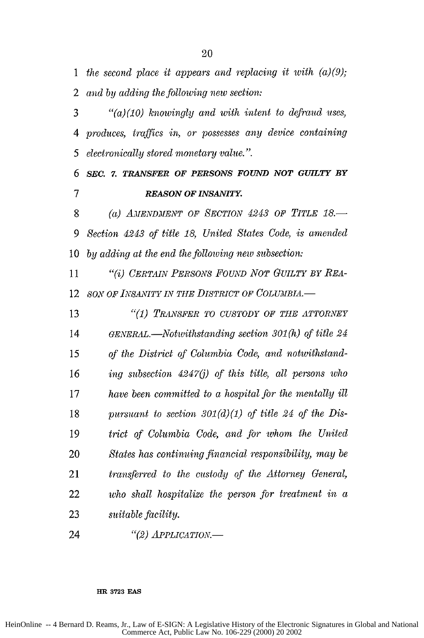*the second place it appears and replacing it with (a)(9); and by adding the following new section:*

*"(a)(10) knowingly and with intent to defraud uses, 4 produces, traffics in, or possesses any device containing 5 electronically stored monetary value.".*

*SEC. 7. TRANSFER OF PERSONS FOUND NOT GUILTY BY 7 REASON OF INSANITY.*

*(a) LuENDMENT OF SECTION 4243 OF TITLE 18.- 9 Section 4243 of title 18, United States Code, is amended by adding at the end the following new subsection:*

*"(i) CERTAN PERSONS FOUND NOT GUILTY BY REA-SON OF INSANITY IN THE DISTRICT OF COLUMBIA.* 

*"(1) TRANYSFER TO CUSTODY OF THE ATTORNEY GENERAL.-Notwithstanding section 301* **(h)** *of title 24 15 of the District of Columbia Code, and notwithstand-ing subsection 4247(j) of this title, all persons who have been committed to a hospital for the mentally ill pursuant to section 301(d)(1) of title 24 of the Dis-trict of Columbia Code, and for whom the United States has continuing financial responsibility,* may *be transferred to the custody of the Attorney General, who shall hospitalize the person for treatment in a suitable facility.*

*"(2) APPLICATION.-*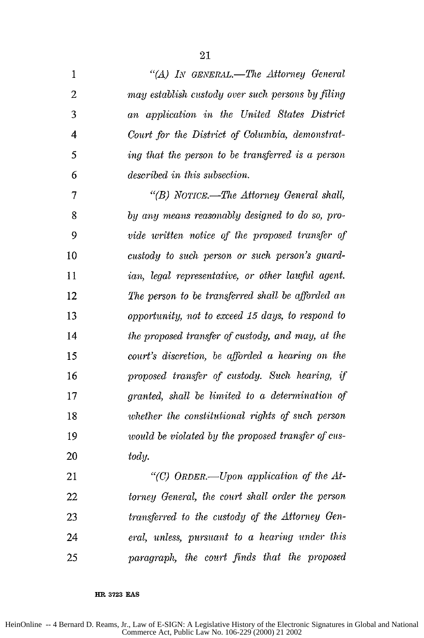| $\mathbf{1}$            | "(A) IN GENERAL.-The Attorney General              |
|-------------------------|----------------------------------------------------|
| $\overline{2}$          | may establish custody over such persons by filing  |
| 3                       | an application in the United States District       |
| $\overline{\mathbf{4}}$ | Court for the District of Columbia, demonstrat-    |
| 5                       | ing that the person to be transferred is a person  |
| 6                       | described in this subsection.                      |
| $\overline{7}$          | "(B) NOTICE.—The Attorney General shall,           |
| 8                       | by any means reasonably designed to do so, pro-    |
| 9                       | vide written notice of the proposed transfer of    |
| 10                      | custody to such person or such person's guard-     |
| 11                      | ian, legal representative, or other lawful agent.  |
| 12                      | The person to be transferred shall be afforded an  |
| 13                      | opportunity, not to exceed 15 days, to respond to  |
| 14                      | the proposed transfer of custody, and may, at the  |
| 15                      | court's discretion, be afforded a hearing on the   |
| 16                      | proposed transfer of custody. Such hearing, if     |
| 17                      | granted, shall be limited to a determination of    |
| 18                      | whether the constitutional rights of such person   |
| 19                      | would be violated by the proposed transfer of cus- |
| 20                      | tody.                                              |
| 21                      | "(C) ORDER.—Upon application of the $At$ -         |
| 22                      | torney General, the court shall order the person   |
| 23                      | transferred to the custody of the Attorney Gen-    |
| 24                      | eral, unless, pursuant to a hearing under this     |
| 25                      | paragraph, the court finds that the proposed       |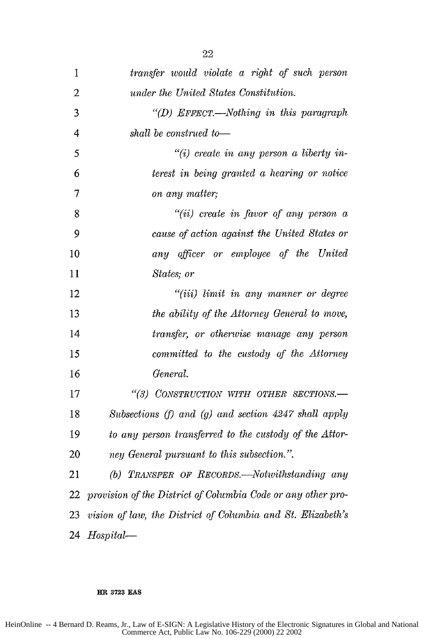| 1              | transfer would violate a right of such person                |
|----------------|--------------------------------------------------------------|
| $\overline{2}$ | under the United States Constitution.                        |
| 3              | "(D) EFFECT.—Nothing in this paragraph                       |
| $\overline{4}$ | shall be construed to-                                       |
| 5              | $"(i)$ create in any person a liberty in-                    |
| 6              | terest in being granted a hearing or notice                  |
| $\overline{7}$ | on any matter;                                               |
| 8              | "(ii) create in favor of any person $a$                      |
| 9              | cause of action against the United States or                 |
| 10             | any officer or employee of the United                        |
| 11             | States; or                                                   |
| 12             | "(iii) limit in any manner or degree                         |
| 13             | the ability of the Attorney General to move,                 |
| 14             | transfer, or otherwise manage any person                     |
| 15             | committed to the custody of the Attorney                     |
| 16             | General.                                                     |
| 17             | "(3) CONSTRUCTION WITH OTHER SECTIONS.-                      |
| 18             | Subsections (f) and (g) and section $4247$ shall apply       |
| 19             | to any person transferred to the custody of the Attor-       |
| 20             | ney General pursuant to this subsection.".                   |
| 21             | (b) TRANSFER OF RECORDS.—Notwithstanding any                 |
| 22             | provision of the District of Columbia Code or any other pro- |
| 23             | vision of law, the District of Columbia and St. Elizabeth's  |
| 24             | $Hospital$ —                                                 |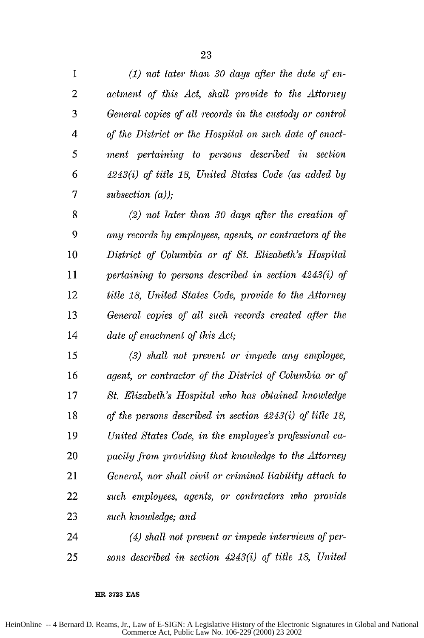*(1) not later than 30 days after the date of en-actment of this Act, shall provide to the Attorney General copies of all records in the custody or control 4 of the District or the Hospital on such date of enact-5 ment pertaining to persons described in section 6 4243(i) of title 18, United States Code (as added by 7 subsection (a));*

*(2) not later than 30 days after the creation of 9 any records by employees, agents, or contractors of the District of Columbia or of St. Elizabeth's Hospital pertaining to persons described in section 4243(i) of title 18, United States Code, provide to the Attorney General copies of all such records created after the date of enactment of this Act;*

*(3) shall not prevent or impede any employee, agent, or contractor of the District of Columbia or of St. Elizabeth's Hospital who has obtained knowledge of the persons described in section 4243(i) of title 18, United States Code, in the employee's professional ca-pacity from providing that knowledge to the Attorney General, nor shall civil or criminal liability attach to such employees, agents, or contractors who provide such knowledge; and*

*(4) shall not prevent or impede interviews of per-25 sons described in section 4243(i) of title 18, United*

#### **HR 3723 EAS**

HeinOnline -- 4 Bernard D. Reams, Jr., Law of E-SIGN: A Legislative History of the Electronic Signatures in Global and National Commerce Act, Public Law No. 106-229 (2000) 23 2002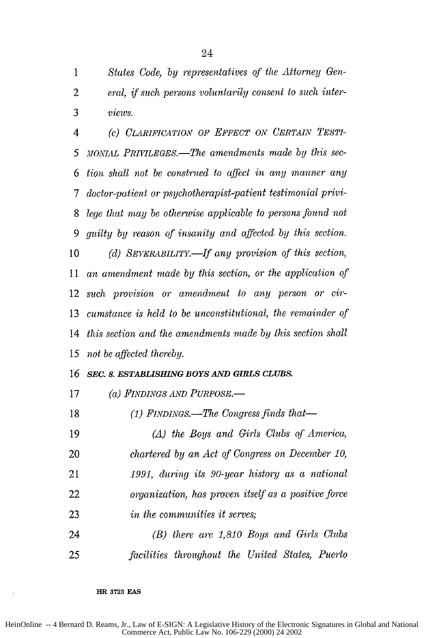*States Code, by representatives of the* Attorney Gen-*eral, if such persons voluntarily consent to such inter-views.*

*(c) CLARIFICATION OF EFFECT ON CERTAN TESTI-5 MONiAiL PIuVILEGES.-The amendments made by this* sec-*tion shall not be conshtted to affect in any manner any 7 doctor-patient or psychotherapist-patient testimonial privi-lege that may be otherwise applicable to persons found not guilty by reason of insanity and affected by this section.* 10 (d) SEVERABILITY.—If any provision of this section, *11 an amendment made by this section, or the application of such provision or amendment to any person or cir-cumstance is held to be unconstitutional, the remainder of this section and the amendments made by this section shall 15 not be affected thereby.*

### *SEC. 8. ESTABLISHING BOYS AND GIRLS CLUBS.*

17 (a) FINDINGS AND PURPOSE.—

*(1) FINDINGS.-The Congress finds that-*

*(A) the Boys and Girls Clubs of America, chartered by an Act of Congress on December 10, 1991, during its 90-year history as a national organization, has proven itself as a positive force in the communities it serves; (B) there are 1,810 Boys and Girls Clubs*

*facilities throughout the United States, Puerto*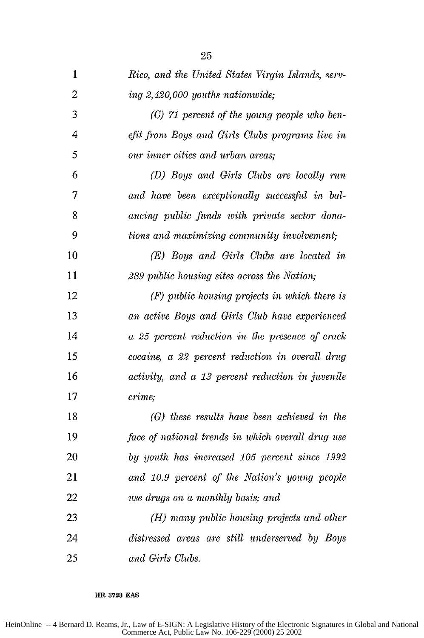| $\mathbf{1}$   | Rico, and the United States Virgin Islands, serv- |
|----------------|---------------------------------------------------|
| $\overline{c}$ | ing 2,420,000 youths nationwide;                  |
| 3              | $(C)$ 71 percent of the young people who ben-     |
| 4              | efit from Boys and Girls Clubs programs live in   |
| 5              | our inner cities and urban areas;                 |
| 6              | (D) Boys and Girls Clubs are locally run          |
| 7              | and have been exceptionally successful in bal-    |
| 8              | ancing public funds with private sector dona-     |
| 9              | tions and maximizing community involvement;       |
| 10             | (E) Boys and Girls Clubs are located in           |
| 11             | 289 public housing sites across the Nation;       |
| 12             | (F) public housing projects in which there is     |
| 13             | an active Boys and Girls Club have experienced    |
| 14             | a 25 percent reduction in the presence of crack   |
| 15             | cocaine, a 22 percent reduction in overall drug   |
| 16             | activity, and a 13 percent reduction in juvenile  |
| 17             | crime;                                            |
| 18             | (G) these results have been achieved in the       |
| 19             | face of national trends in which overall drug use |
| 20             | by youth has increased 105 percent since 1992     |
| 21             | and 10.9 percent of the Nation's young people     |
| 22             | use drugs on a monthly basis; and                 |
| 23             | (H) many public housing projects and other        |
| 24             | distressed areas are still underserved by Boys    |
| 25             | and Girls Clubs.                                  |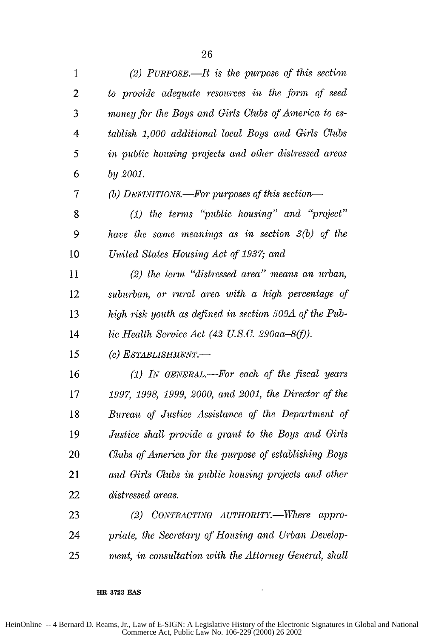| $\mathbf{1}$   | (2) PURPOSE.—It is the purpose of this section         |
|----------------|--------------------------------------------------------|
| $\overline{c}$ | to provide adequate resources in the form of seed      |
| 3              | money for the Boys and Girls Clubs of America to es-   |
| 4              | tablish 1,000 additional local Boys and Girls Clubs    |
| 5              | in public housing projects and other distressed areas  |
| 6              | by $2001$ .                                            |
| 7              | (b) DEFINITIONS.-For purposes of this section-         |
| 8              | $(1)$ the terms "public housing" and "project"         |
| 9              | have the same meanings as in section $3(b)$ of the     |
| 10             | United States Housing Act of 1937; and                 |
| 11             | $(2)$ the term "distressed area" means an urban,       |
| 12             | suburban, or rural area with a high percentage of      |
| 13             | high risk youth as defined in section 509A of the Pub- |
| 14             | lic Health Service Act (42 U.S.C. 290aa-8(f)).         |
| 15             | (c) ESTABLISHMENT.-                                    |
| 16             | $(1)$ IN GENERAL.—For each of the fiscal years         |
| 17             | 1997, 1998, 1999, 2000, and 2001, the Director of the  |
| 18             | Bureau of Justice Assistance of the Department of      |
| 19             | Justice shall provide a grant to the Boys and Girls    |
| 20             | Clubs of America for the purpose of establishing Boys  |
| 21             | and Girls Clubs in public housing projects and other   |
| 22             | distressed areas.                                      |
| 23             | (2) CONTRACTING AUTHORITY.-Where appro-                |
| 24             | priate, the Secretary of Housing and Urban Develop-    |
| 25             | ment, in consultation with the Attorney General, shall |

 $\sim$   $\sim$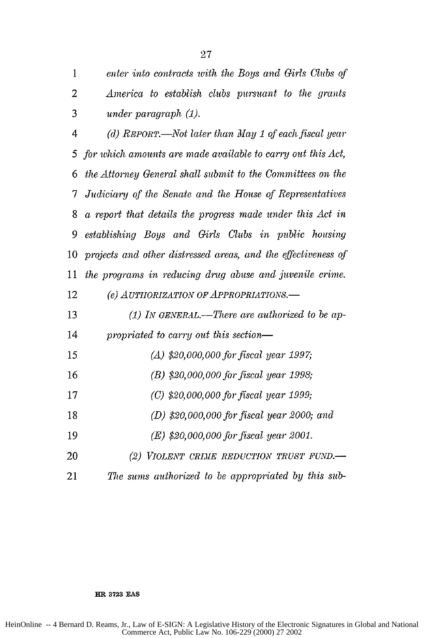1 *enter into contracts with the Boys and Girls Clubs of* 2 *America to establish clubs pursuant to the grants* 3 *under paragraph (1).*

*4 (d) REPORT.-Not later than May 1 of each fiscal year 5 for which amounts are made available to carry out this Act, 6 the Attorney General shall submit to the Committees on the 7 Judiciary of the Senate and the House of Representatives* 8 *a report that details the progress made under this Act in 9 establishing Boys and Girls Clubs in public housing* 10 *projects and other distressed areas, and the effectiveness of 11 the programs in reducing drug abuse and juvenile crime.* 12 *(e) AUTHORIZATION OF APPROPRIATIONS.* 13 *(1) LV GENERAL.-There are authorized to be ap-*14 *propriated to carry out this section-15 (A) \$20,000,000 for fiscal year 1997*

- *16 (B) \$20,000,000 for fiscal year 1998;* 17 *(C) \$20,000,000 for fiscal year 1999;*
- 
- 18 *(D) \$20,000,000 for fiscal year 2000; and*
- 19 *(E) \$20,000,000 for fiscal year 2001.*
- 20 *(2) VIOLENT CRIME REDUCTION TRUST FUND.-*
- 21 The sums authorized to be appropriated by this sub-